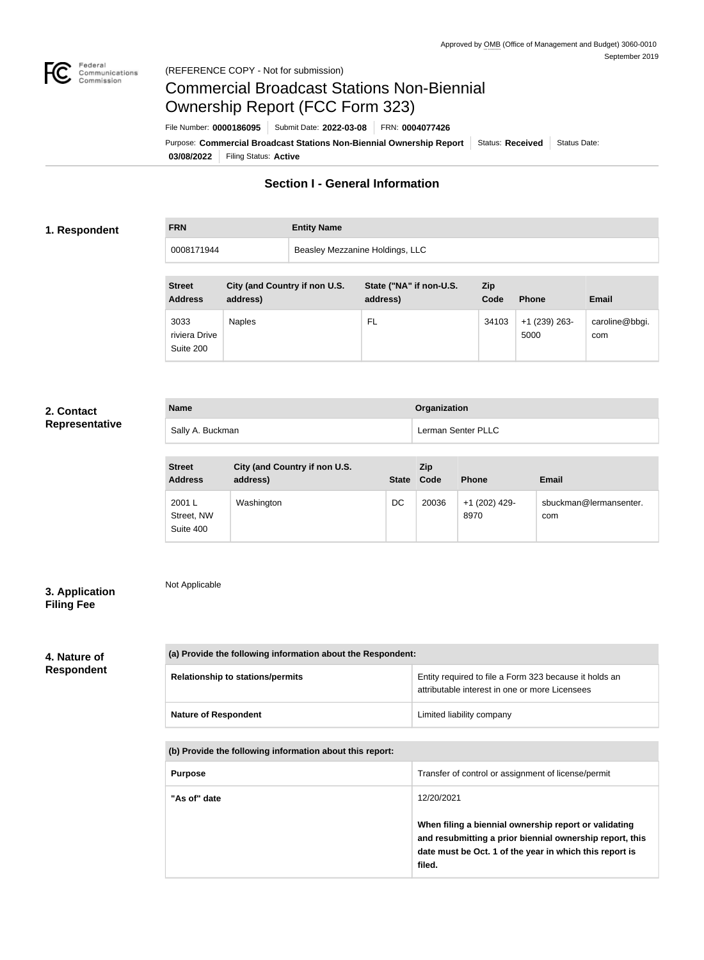

# Commercial Broadcast Stations Non-Biennial Ownership Report (FCC Form 323)

**03/08/2022** Filing Status: **Active** Purpose: Commercial Broadcast Stations Non-Biennial Ownership Report Status: Received Status Date: File Number: **0000186095** Submit Date: **2022-03-08** FRN: **0004077426**

# **Section I - General Information**

### **1. Respondent**

**FRN Entity Name**

0008171944 Beasley Mezzanine Holdings, LLC

| <b>Street</b><br><b>Address</b>    | City (and Country if non U.S.<br>address) | State ("NA" if non-U.S.<br>address) | Zip<br>Code | <b>Phone</b>            | <b>Email</b>          |
|------------------------------------|-------------------------------------------|-------------------------------------|-------------|-------------------------|-----------------------|
| 3033<br>riviera Drive<br>Suite 200 | Naples                                    | FL                                  | 34103       | $+1$ (239) 263-<br>5000 | caroline@bbgi.<br>com |

## **2. Contact Representative**

| <b>Name</b>      | <b>Organization</b> |
|------------------|---------------------|
| Sally A. Buckman | Lerman Senter PLLC  |

| <b>Street</b><br><b>Address</b>   | City (and Country if non U.S.<br>address) | <b>State</b> | <b>Zip</b><br>Code | <b>Phone</b>          | <b>Email</b>                  |
|-----------------------------------|-------------------------------------------|--------------|--------------------|-----------------------|-------------------------------|
| 2001 L<br>Street, NW<br>Suite 400 | Washington                                | DC           | 20036              | +1 (202) 429-<br>8970 | sbuckman@lermansenter.<br>com |

# **3. Application Filing Fee**

Not Applicable

# **4. Nature of Respondent**

| (a) Provide the following information about the Respondent: |                                                                                                          |  |  |
|-------------------------------------------------------------|----------------------------------------------------------------------------------------------------------|--|--|
| <b>Relationship to stations/permits</b>                     | Entity required to file a Form 323 because it holds an<br>attributable interest in one or more Licensees |  |  |
| <b>Nature of Respondent</b>                                 | Limited liability company                                                                                |  |  |

**(b) Provide the following information about this report:**

| <b>Purpose</b> | Transfer of control or assignment of license/permit                                                                                                                                    |
|----------------|----------------------------------------------------------------------------------------------------------------------------------------------------------------------------------------|
| "As of" date   | 12/20/2021                                                                                                                                                                             |
|                | When filing a biennial ownership report or validating<br>and resubmitting a prior biennial ownership report, this<br>date must be Oct. 1 of the year in which this report is<br>filed. |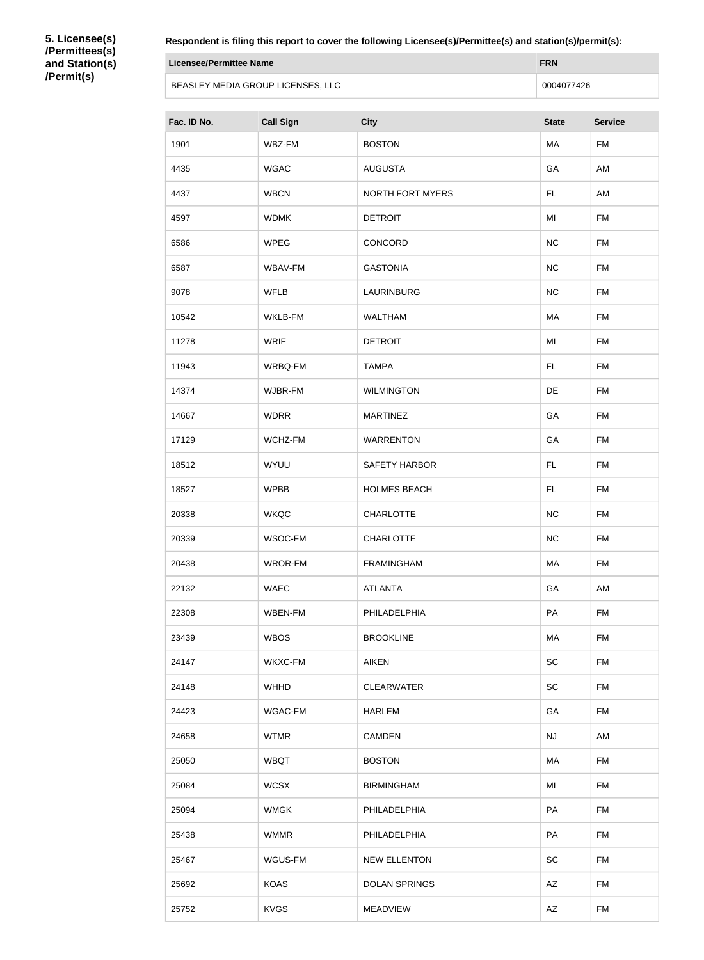**5. Licensee(s) /Permittees(s) and Station(s) /Permit(s)**

**Respondent is filing this report to cover the following Licensee(s)/Permittee(s) and station(s)/permit(s):**

| Licensee/Permittee Name           | <b>FRN</b> |
|-----------------------------------|------------|
| BEASLEY MEDIA GROUP LICENSES, LLC | 0004077426 |

| Fac. ID No. | <b>Call Sign</b> | <b>City</b>             | <b>State</b> | <b>Service</b> |
|-------------|------------------|-------------------------|--------------|----------------|
| 1901        | WBZ-FM           | <b>BOSTON</b>           | MA           | <b>FM</b>      |
| 4435        | <b>WGAC</b>      | <b>AUGUSTA</b>          | GA           | AM             |
| 4437        | <b>WBCN</b>      | <b>NORTH FORT MYERS</b> | FL.          | AM             |
| 4597        | <b>WDMK</b>      | <b>DETROIT</b>          | MI           | <b>FM</b>      |
| 6586        | <b>WPEG</b>      | CONCORD                 | NC           | <b>FM</b>      |
| 6587        | WBAV-FM          | <b>GASTONIA</b>         | NC           | <b>FM</b>      |
| 9078        | <b>WFLB</b>      | <b>LAURINBURG</b>       | NC           | <b>FM</b>      |
| 10542       | WKLB-FM          | <b>WALTHAM</b>          | MA           | <b>FM</b>      |
| 11278       | <b>WRIF</b>      | <b>DETROIT</b>          | MI           | <b>FM</b>      |
| 11943       | WRBQ-FM          | <b>TAMPA</b>            | FL           | <b>FM</b>      |
| 14374       | WJBR-FM          | <b>WILMINGTON</b>       | DE           | <b>FM</b>      |
| 14667       | <b>WDRR</b>      | <b>MARTINEZ</b>         | GA           | <b>FM</b>      |
| 17129       | WCHZ-FM          | <b>WARRENTON</b>        | GA           | <b>FM</b>      |
| 18512       | WYUU             | <b>SAFETY HARBOR</b>    | FL.          | <b>FM</b>      |
| 18527       | <b>WPBB</b>      | <b>HOLMES BEACH</b>     | FL.          | <b>FM</b>      |
| 20338       | <b>WKQC</b>      | <b>CHARLOTTE</b>        | NC           | <b>FM</b>      |
| 20339       | WSOC-FM          | <b>CHARLOTTE</b>        | NC           | <b>FM</b>      |
| 20438       | WROR-FM          | <b>FRAMINGHAM</b>       | MA           | <b>FM</b>      |
| 22132       | <b>WAEC</b>      | <b>ATLANTA</b>          | GA           | AM             |
| 22308       | WBEN-FM          | PHILADELPHIA            | PA           | <b>FM</b>      |
| 23439       | <b>WBOS</b>      | <b>BROOKLINE</b>        | MA           | <b>FM</b>      |
| 24147       | WKXC-FM          | <b>AIKEN</b>            | SC           | <b>FM</b>      |
| 24148       | <b>WHHD</b>      | <b>CLEARWATER</b>       | <b>SC</b>    | <b>FM</b>      |
| 24423       | WGAC-FM          | <b>HARLEM</b>           | GA           | <b>FM</b>      |
| 24658       | <b>WTMR</b>      | <b>CAMDEN</b>           | NJ           | AM             |
| 25050       | <b>WBQT</b>      | <b>BOSTON</b>           | MA           | <b>FM</b>      |
| 25084       | <b>WCSX</b>      | <b>BIRMINGHAM</b>       | MI           | <b>FM</b>      |
| 25094       | <b>WMGK</b>      | PHILADELPHIA            | PA           | <b>FM</b>      |
| 25438       | <b>WMMR</b>      | PHILADELPHIA            | PA           | <b>FM</b>      |
| 25467       | WGUS-FM          | <b>NEW ELLENTON</b>     | SC           | <b>FM</b>      |
| 25692       | <b>KOAS</b>      | <b>DOLAN SPRINGS</b>    | AZ           | <b>FM</b>      |
| 25752       | <b>KVGS</b>      | <b>MEADVIEW</b>         | AZ.          | <b>FM</b>      |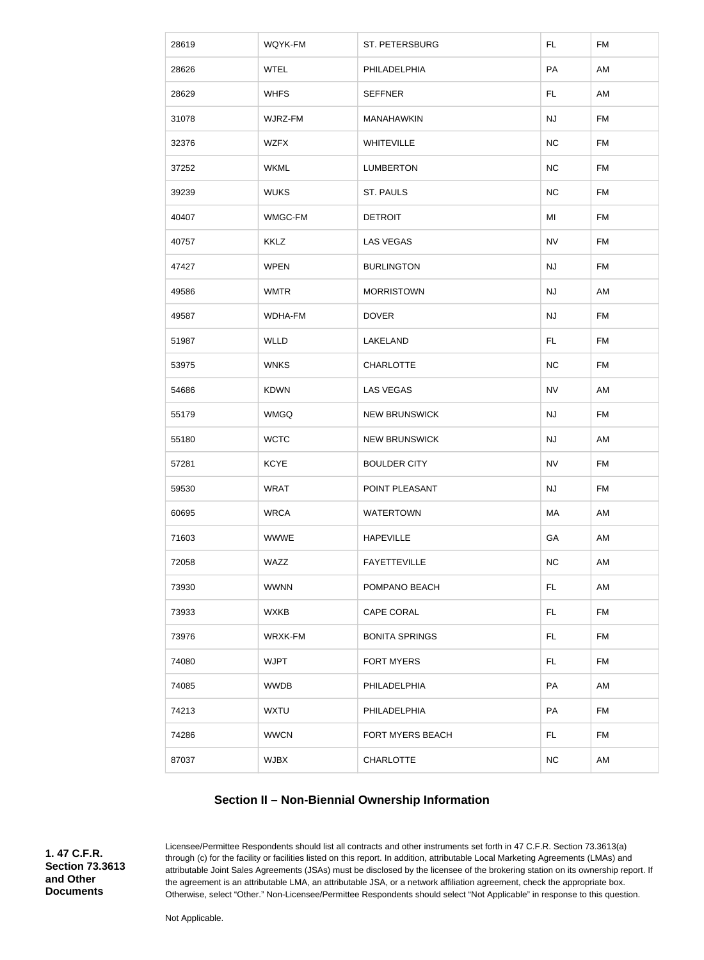| 28619 | WQYK-FM        | ST. PETERSBURG        | FL.       | <b>FM</b> |
|-------|----------------|-----------------------|-----------|-----------|
| 28626 | <b>WTEL</b>    | PHILADELPHIA          | PA        | AM        |
| 28629 | <b>WHFS</b>    | <b>SEFFNER</b>        | <b>FL</b> | AM        |
| 31078 | WJRZ-FM        | MANAHAWKIN            | <b>NJ</b> | <b>FM</b> |
| 32376 | <b>WZFX</b>    | WHITEVILLE            | NC        | <b>FM</b> |
| 37252 | <b>WKML</b>    | <b>LUMBERTON</b>      | NC        | <b>FM</b> |
| 39239 | <b>WUKS</b>    | <b>ST. PAULS</b>      | <b>NC</b> | <b>FM</b> |
| 40407 | WMGC-FM        | <b>DETROIT</b>        | MI        | <b>FM</b> |
| 40757 | <b>KKLZ</b>    | <b>LAS VEGAS</b>      | <b>NV</b> | <b>FM</b> |
| 47427 | <b>WPEN</b>    | <b>BURLINGTON</b>     | <b>NJ</b> | <b>FM</b> |
| 49586 | <b>WMTR</b>    | <b>MORRISTOWN</b>     | <b>NJ</b> | AM        |
| 49587 | <b>WDHA-FM</b> | <b>DOVER</b>          | <b>NJ</b> | <b>FM</b> |
| 51987 | <b>WLLD</b>    | LAKELAND              | FL.       | <b>FM</b> |
| 53975 | <b>WNKS</b>    | <b>CHARLOTTE</b>      | <b>NC</b> | <b>FM</b> |
| 54686 | <b>KDWN</b>    | <b>LAS VEGAS</b>      | <b>NV</b> | AM        |
| 55179 | <b>WMGQ</b>    | <b>NEW BRUNSWICK</b>  | <b>NJ</b> | <b>FM</b> |
| 55180 | <b>WCTC</b>    | <b>NEW BRUNSWICK</b>  | <b>NJ</b> | AM        |
| 57281 | <b>KCYE</b>    | <b>BOULDER CITY</b>   | <b>NV</b> | <b>FM</b> |
| 59530 | <b>WRAT</b>    | POINT PLEASANT        | NJ        | <b>FM</b> |
| 60695 | <b>WRCA</b>    | <b>WATERTOWN</b>      | MA        | AM        |
| 71603 | <b>WWWE</b>    | <b>HAPEVILLE</b>      | GA        | AM        |
| 72058 | WAZZ           | <b>FAYETTEVILLE</b>   | NC        | AM        |
| 73930 | <b>WWNN</b>    | POMPANO BEACH         | <b>FL</b> | AM        |
| 73933 | <b>WXKB</b>    | <b>CAPE CORAL</b>     | FL.       | <b>FM</b> |
| 73976 | WRXK-FM        | <b>BONITA SPRINGS</b> | FL.       | <b>FM</b> |
| 74080 | <b>WJPT</b>    | <b>FORT MYERS</b>     | FL.       | <b>FM</b> |
| 74085 | <b>WWDB</b>    | PHILADELPHIA          | PA        | AM        |
| 74213 | <b>WXTU</b>    | PHILADELPHIA          | PA        | <b>FM</b> |
| 74286 | <b>WWCN</b>    | FORT MYERS BEACH      | FL.       | <b>FM</b> |
| 87037 | <b>WJBX</b>    | <b>CHARLOTTE</b>      | NC        | AM        |

# **Section II – Non-Biennial Ownership Information**

**1. 47 C.F.R. Section 73.3613 and Other Documents**

Licensee/Permittee Respondents should list all contracts and other instruments set forth in 47 C.F.R. Section 73.3613(a) through (c) for the facility or facilities listed on this report. In addition, attributable Local Marketing Agreements (LMAs) and attributable Joint Sales Agreements (JSAs) must be disclosed by the licensee of the brokering station on its ownership report. If the agreement is an attributable LMA, an attributable JSA, or a network affiliation agreement, check the appropriate box. Otherwise, select "Other." Non-Licensee/Permittee Respondents should select "Not Applicable" in response to this question.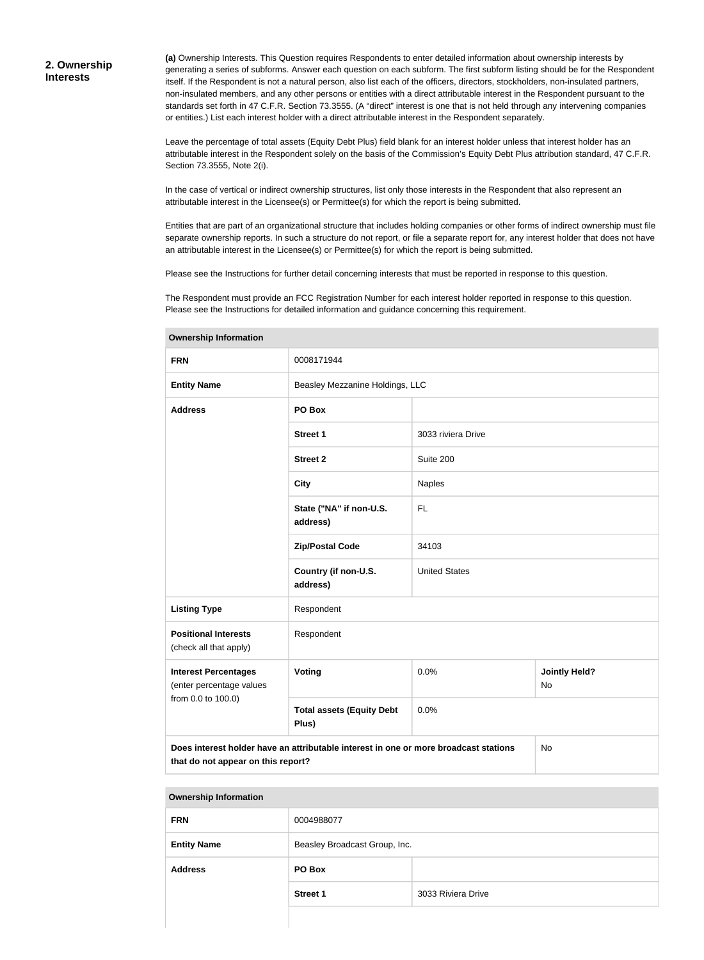**(a)** Ownership Interests. This Question requires Respondents to enter detailed information about ownership interests by generating a series of subforms. Answer each question on each subform. The first subform listing should be for the Respondent itself. If the Respondent is not a natural person, also list each of the officers, directors, stockholders, non-insulated partners, non-insulated members, and any other persons or entities with a direct attributable interest in the Respondent pursuant to the standards set forth in 47 C.F.R. Section 73.3555. (A "direct" interest is one that is not held through any intervening companies or entities.) List each interest holder with a direct attributable interest in the Respondent separately.

Leave the percentage of total assets (Equity Debt Plus) field blank for an interest holder unless that interest holder has an attributable interest in the Respondent solely on the basis of the Commission's Equity Debt Plus attribution standard, 47 C.F.R. Section 73.3555, Note 2(i).

In the case of vertical or indirect ownership structures, list only those interests in the Respondent that also represent an attributable interest in the Licensee(s) or Permittee(s) for which the report is being submitted.

Entities that are part of an organizational structure that includes holding companies or other forms of indirect ownership must file separate ownership reports. In such a structure do not report, or file a separate report for, any interest holder that does not have an attributable interest in the Licensee(s) or Permittee(s) for which the report is being submitted.

Please see the Instructions for further detail concerning interests that must be reported in response to this question.

The Respondent must provide an FCC Registration Number for each interest holder reported in response to this question. Please see the Instructions for detailed information and guidance concerning this requirement.

| <b>FRN</b>                                                                                                                              | 0008171944                                |                                           |  |  |
|-----------------------------------------------------------------------------------------------------------------------------------------|-------------------------------------------|-------------------------------------------|--|--|
| <b>Entity Name</b>                                                                                                                      | Beasley Mezzanine Holdings, LLC           |                                           |  |  |
| <b>Address</b>                                                                                                                          | PO Box                                    |                                           |  |  |
|                                                                                                                                         | <b>Street 1</b>                           | 3033 riviera Drive                        |  |  |
|                                                                                                                                         | <b>Street 2</b>                           | Suite 200                                 |  |  |
|                                                                                                                                         | <b>City</b>                               | Naples                                    |  |  |
|                                                                                                                                         | State ("NA" if non-U.S.<br>address)       | <b>FL</b>                                 |  |  |
|                                                                                                                                         | <b>Zip/Postal Code</b>                    | 34103                                     |  |  |
|                                                                                                                                         | Country (if non-U.S.<br>address)          | <b>United States</b>                      |  |  |
| <b>Listing Type</b>                                                                                                                     | Respondent                                |                                           |  |  |
| <b>Positional Interests</b><br>(check all that apply)                                                                                   | Respondent                                |                                           |  |  |
| <b>Interest Percentages</b><br>(enter percentage values                                                                                 | <b>Voting</b>                             | 0.0%<br><b>Jointly Held?</b><br><b>No</b> |  |  |
| from 0.0 to 100.0)                                                                                                                      | <b>Total assets (Equity Debt</b><br>Plus) | 0.0%                                      |  |  |
| Does interest holder have an attributable interest in one or more broadcast stations<br><b>No</b><br>that do not appear on this report? |                                           |                                           |  |  |

**Ownership Information**

| <b>FRN</b>         | 0004988077                    |                    |  |
|--------------------|-------------------------------|--------------------|--|
| <b>Entity Name</b> | Beasley Broadcast Group, Inc. |                    |  |
| <b>Address</b>     | PO Box                        |                    |  |
|                    | <b>Street 1</b>               | 3033 Riviera Drive |  |
|                    |                               |                    |  |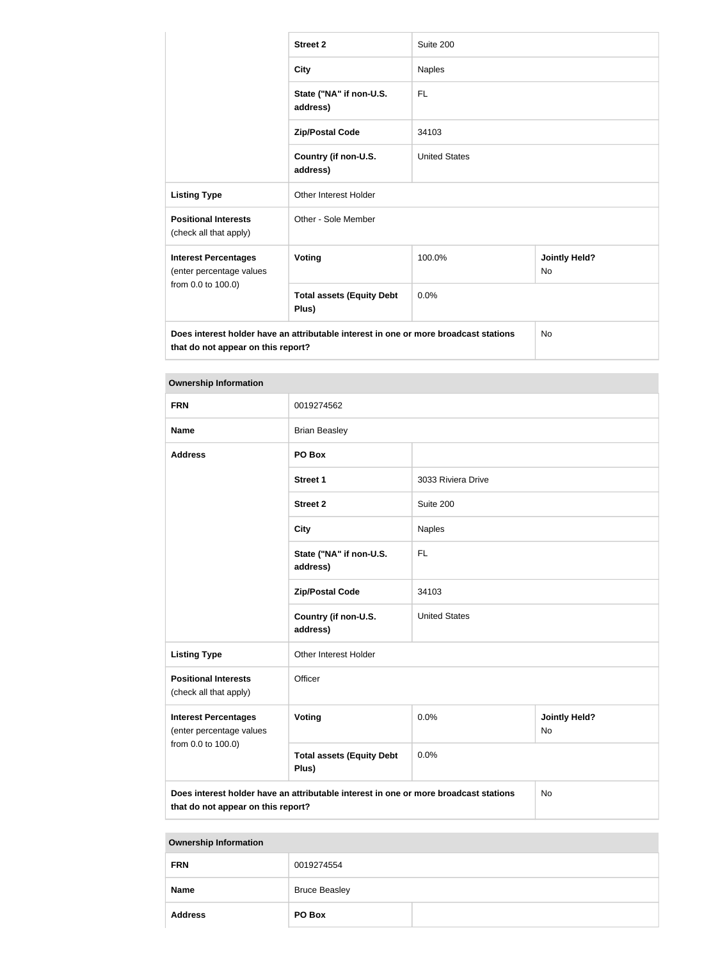|                                                                                                                            | <b>Street 2</b>                           | Suite 200            |                                   |  |  |
|----------------------------------------------------------------------------------------------------------------------------|-------------------------------------------|----------------------|-----------------------------------|--|--|
|                                                                                                                            | <b>City</b>                               | <b>Naples</b>        |                                   |  |  |
|                                                                                                                            | State ("NA" if non-U.S.<br>address)       | <b>FL</b>            |                                   |  |  |
|                                                                                                                            | <b>Zip/Postal Code</b>                    | 34103                |                                   |  |  |
|                                                                                                                            | Country (if non-U.S.<br>address)          | <b>United States</b> |                                   |  |  |
| <b>Listing Type</b>                                                                                                        | <b>Other Interest Holder</b>              |                      |                                   |  |  |
| <b>Positional Interests</b><br>(check all that apply)                                                                      | Other - Sole Member                       |                      |                                   |  |  |
| <b>Interest Percentages</b><br>(enter percentage values                                                                    | Voting                                    | 100.0%               | <b>Jointly Held?</b><br><b>No</b> |  |  |
| from 0.0 to 100.0)                                                                                                         | <b>Total assets (Equity Debt</b><br>Plus) | 0.0%                 |                                   |  |  |
| Does interest holder have an attributable interest in one or more broadcast stations<br>that do not appear on this report? |                                           |                      | <b>No</b>                         |  |  |

| <b>Ownership Information</b>                                                                                                            |                                           |                                    |  |
|-----------------------------------------------------------------------------------------------------------------------------------------|-------------------------------------------|------------------------------------|--|
| <b>FRN</b>                                                                                                                              | 0019274562                                |                                    |  |
| <b>Name</b>                                                                                                                             | <b>Brian Beasley</b>                      |                                    |  |
| <b>Address</b>                                                                                                                          | PO Box                                    |                                    |  |
|                                                                                                                                         | Street 1                                  | 3033 Riviera Drive                 |  |
|                                                                                                                                         | <b>Street 2</b>                           | Suite 200                          |  |
|                                                                                                                                         | <b>City</b>                               | Naples                             |  |
|                                                                                                                                         | State ("NA" if non-U.S.<br>address)       | <b>FL</b>                          |  |
| 34103<br><b>Zip/Postal Code</b>                                                                                                         |                                           |                                    |  |
|                                                                                                                                         | Country (if non-U.S.<br>address)          | <b>United States</b>               |  |
| <b>Listing Type</b>                                                                                                                     | Other Interest Holder                     |                                    |  |
| <b>Positional Interests</b><br>(check all that apply)                                                                                   | Officer                                   |                                    |  |
| <b>Interest Percentages</b><br>(enter percentage values                                                                                 | <b>Voting</b>                             | 0.0%<br><b>Jointly Held?</b><br>No |  |
| from 0.0 to 100.0)                                                                                                                      | <b>Total assets (Equity Debt</b><br>Plus) | 0.0%                               |  |
| Does interest holder have an attributable interest in one or more broadcast stations<br><b>No</b><br>that do not appear on this report? |                                           |                                    |  |

| <b>Ownership Information</b> |                      |  |
|------------------------------|----------------------|--|
| <b>FRN</b>                   | 0019274554           |  |
| <b>Name</b>                  | <b>Bruce Beasley</b> |  |
| <b>Address</b>               | PO Box               |  |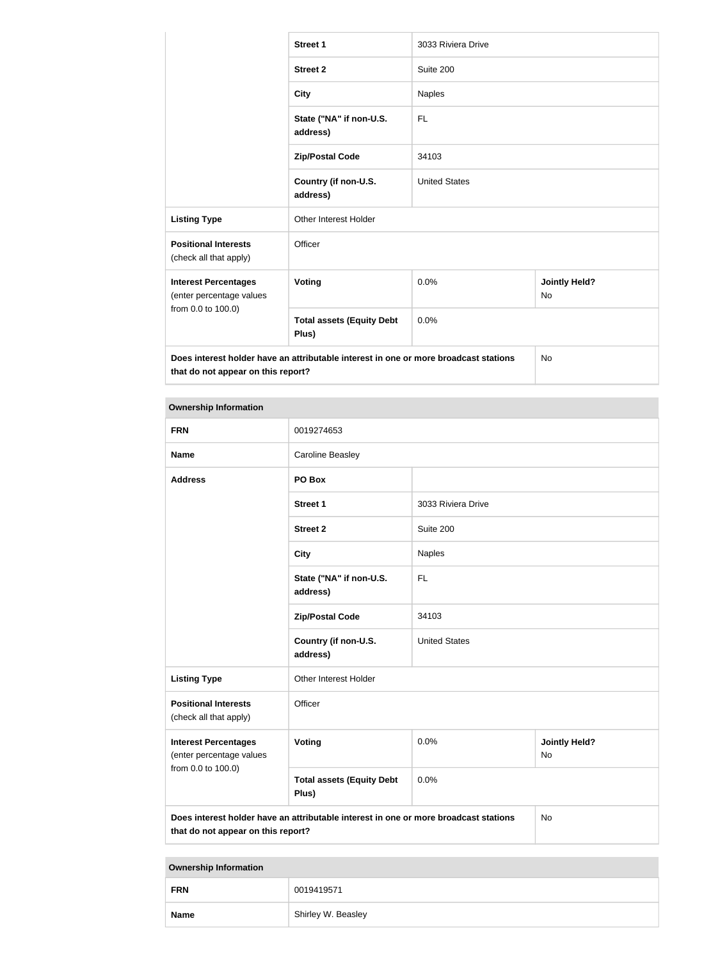|                                                                                      | <b>Street 1</b>                           | 3033 Riviera Drive   |                                   |
|--------------------------------------------------------------------------------------|-------------------------------------------|----------------------|-----------------------------------|
|                                                                                      | <b>Street 2</b>                           | Suite 200            |                                   |
|                                                                                      | <b>City</b>                               | <b>Naples</b>        |                                   |
|                                                                                      | State ("NA" if non-U.S.<br>address)       | <b>FL</b>            |                                   |
|                                                                                      | <b>Zip/Postal Code</b>                    | 34103                |                                   |
|                                                                                      | Country (if non-U.S.<br>address)          | <b>United States</b> |                                   |
| <b>Listing Type</b>                                                                  | <b>Other Interest Holder</b>              |                      |                                   |
| <b>Positional Interests</b><br>(check all that apply)                                | Officer                                   |                      |                                   |
| <b>Interest Percentages</b><br>(enter percentage values<br>from 0.0 to 100.0)        | <b>Voting</b>                             | 0.0%                 | <b>Jointly Held?</b><br><b>No</b> |
|                                                                                      | <b>Total assets (Equity Debt</b><br>Plus) | 0.0%                 |                                   |
| Does interest holder have an attributable interest in one or more broadcast stations |                                           |                      | <b>No</b>                         |

**that do not appear on this report?**

| <b>Ownership Information</b>                                                  |                                                                                      |                      |                            |  |
|-------------------------------------------------------------------------------|--------------------------------------------------------------------------------------|----------------------|----------------------------|--|
| <b>FRN</b>                                                                    | 0019274653                                                                           |                      |                            |  |
| <b>Name</b>                                                                   | <b>Caroline Beasley</b>                                                              |                      |                            |  |
| <b>Address</b>                                                                | PO Box                                                                               |                      |                            |  |
|                                                                               | <b>Street 1</b>                                                                      | 3033 Riviera Drive   |                            |  |
|                                                                               | <b>Street 2</b>                                                                      | Suite 200            |                            |  |
|                                                                               | <b>City</b>                                                                          | <b>Naples</b>        |                            |  |
|                                                                               | State ("NA" if non-U.S.<br>address)                                                  | FL.                  |                            |  |
|                                                                               | <b>Zip/Postal Code</b>                                                               | 34103                |                            |  |
|                                                                               | Country (if non-U.S.<br>address)                                                     | <b>United States</b> |                            |  |
| <b>Listing Type</b>                                                           | Other Interest Holder                                                                |                      |                            |  |
| <b>Positional Interests</b><br>(check all that apply)                         | Officer                                                                              |                      |                            |  |
| <b>Interest Percentages</b><br>(enter percentage values<br>from 0.0 to 100.0) | Voting                                                                               | 0.0%                 | <b>Jointly Held?</b><br>No |  |
|                                                                               | <b>Total assets (Equity Debt</b><br>Plus)                                            | 0.0%                 |                            |  |
| that do not appear on this report?                                            | Does interest holder have an attributable interest in one or more broadcast stations |                      | No                         |  |

| <b>Ownership Information</b> |                    |
|------------------------------|--------------------|
| <b>FRN</b>                   | 0019419571         |
| <b>Name</b>                  | Shirley W. Beasley |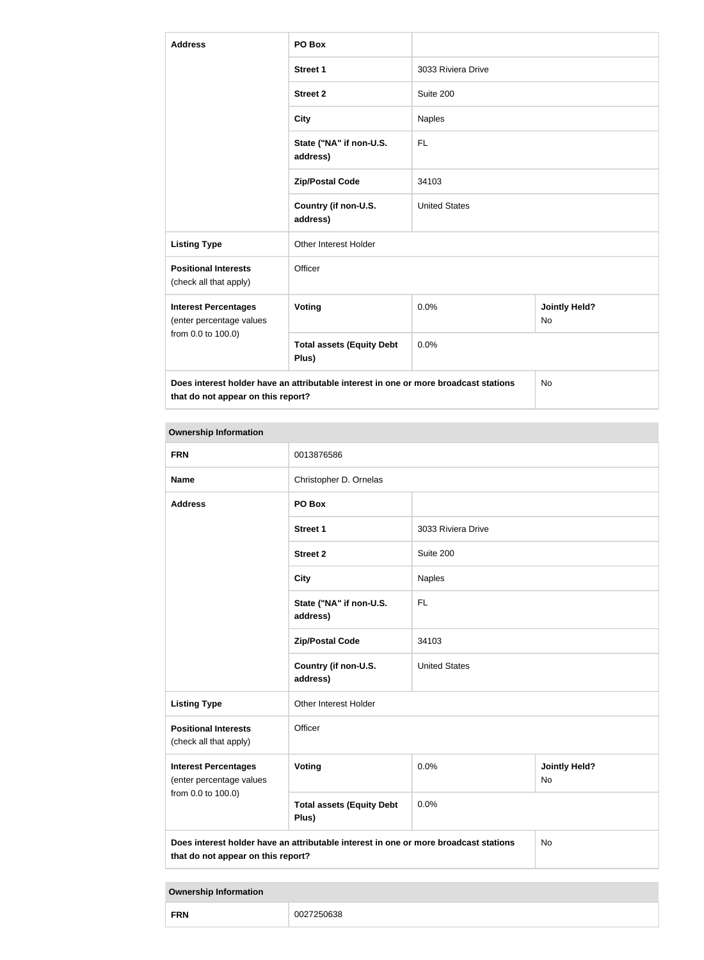| <b>Address</b>                                          | PO Box                                                                               |                      |                                   |  |
|---------------------------------------------------------|--------------------------------------------------------------------------------------|----------------------|-----------------------------------|--|
|                                                         | <b>Street 1</b>                                                                      | 3033 Riviera Drive   |                                   |  |
|                                                         | <b>Street 2</b>                                                                      | Suite 200            |                                   |  |
|                                                         | <b>City</b>                                                                          | Naples               |                                   |  |
|                                                         | State ("NA" if non-U.S.<br>address)                                                  | FL                   |                                   |  |
|                                                         | <b>Zip/Postal Code</b>                                                               | 34103                |                                   |  |
|                                                         | Country (if non-U.S.<br>address)                                                     | <b>United States</b> |                                   |  |
| <b>Listing Type</b>                                     | Other Interest Holder                                                                |                      |                                   |  |
| <b>Positional Interests</b><br>(check all that apply)   | Officer                                                                              |                      |                                   |  |
| <b>Interest Percentages</b><br>(enter percentage values | Voting                                                                               | 0.0%                 | <b>Jointly Held?</b><br><b>No</b> |  |
| from 0.0 to 100.0)                                      | <b>Total assets (Equity Debt</b><br>Plus)                                            | 0.0%                 |                                   |  |
| that do not appear on this report?                      | Does interest holder have an attributable interest in one or more broadcast stations |                      | <b>No</b>                         |  |

## **Ownership Information**

the control of the control of the control of the control of the control of

| <b>FRN</b>                                                                                                                              | 0013876586                                |                      |                            |  |
|-----------------------------------------------------------------------------------------------------------------------------------------|-------------------------------------------|----------------------|----------------------------|--|
| <b>Name</b>                                                                                                                             | Christopher D. Ornelas                    |                      |                            |  |
| <b>Address</b>                                                                                                                          | PO Box                                    |                      |                            |  |
|                                                                                                                                         | <b>Street 1</b>                           | 3033 Riviera Drive   |                            |  |
|                                                                                                                                         | <b>Street 2</b>                           | Suite 200            |                            |  |
|                                                                                                                                         | <b>City</b>                               | <b>Naples</b>        |                            |  |
|                                                                                                                                         | State ("NA" if non-U.S.<br>address)       | FL.                  |                            |  |
|                                                                                                                                         | <b>Zip/Postal Code</b>                    | 34103                |                            |  |
|                                                                                                                                         | Country (if non-U.S.<br>address)          | <b>United States</b> |                            |  |
| <b>Listing Type</b>                                                                                                                     | Other Interest Holder                     |                      |                            |  |
| <b>Positional Interests</b><br>(check all that apply)                                                                                   | Officer                                   |                      |                            |  |
| <b>Interest Percentages</b><br>(enter percentage values<br>from 0.0 to 100.0)                                                           | Voting                                    | 0.0%                 | <b>Jointly Held?</b><br>No |  |
|                                                                                                                                         | <b>Total assets (Equity Debt</b><br>Plus) | 0.0%                 |                            |  |
| Does interest holder have an attributable interest in one or more broadcast stations<br><b>No</b><br>that do not appear on this report? |                                           |                      |                            |  |

| <b>Ownership Information</b> |            |
|------------------------------|------------|
| <b>FRN</b>                   | 0027250638 |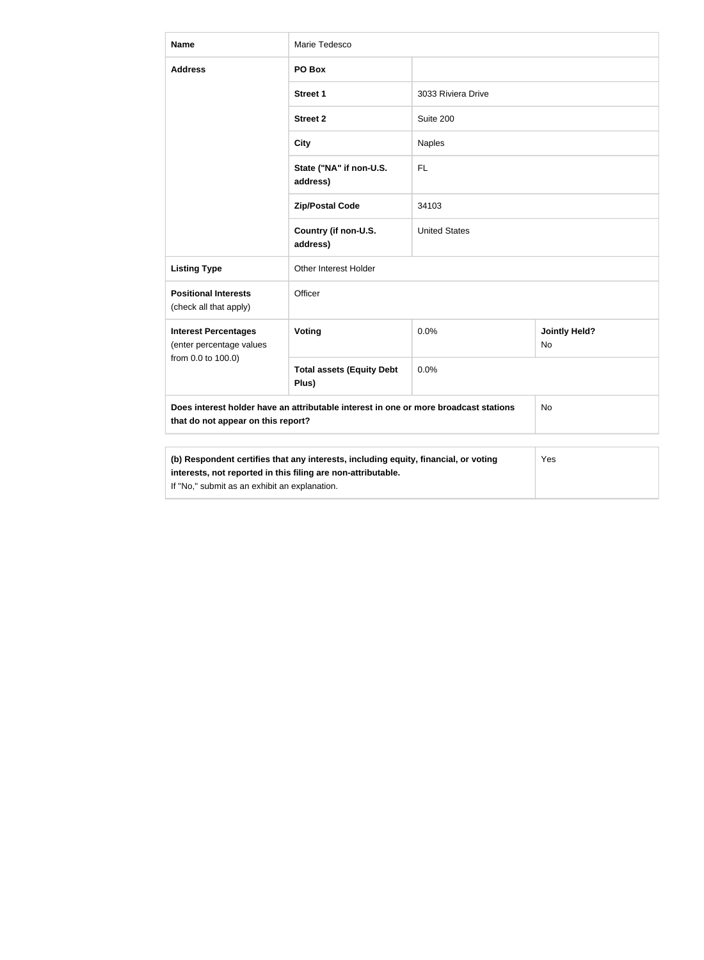| <b>Name</b>                                                                                                                                                                                                 | Marie Tedesco                             |                      |                            |  |
|-------------------------------------------------------------------------------------------------------------------------------------------------------------------------------------------------------------|-------------------------------------------|----------------------|----------------------------|--|
| <b>Address</b>                                                                                                                                                                                              | PO Box                                    |                      |                            |  |
|                                                                                                                                                                                                             | <b>Street 1</b>                           | 3033 Riviera Drive   |                            |  |
|                                                                                                                                                                                                             | <b>Street 2</b>                           | Suite 200            |                            |  |
|                                                                                                                                                                                                             | <b>City</b>                               | <b>Naples</b>        |                            |  |
|                                                                                                                                                                                                             | State ("NA" if non-U.S.<br>address)       | FL                   |                            |  |
|                                                                                                                                                                                                             | <b>Zip/Postal Code</b>                    | 34103                |                            |  |
|                                                                                                                                                                                                             | Country (if non-U.S.<br>address)          | <b>United States</b> |                            |  |
| <b>Listing Type</b>                                                                                                                                                                                         | <b>Other Interest Holder</b>              |                      |                            |  |
| <b>Positional Interests</b><br>(check all that apply)                                                                                                                                                       | Officer                                   |                      |                            |  |
| <b>Interest Percentages</b><br>(enter percentage values                                                                                                                                                     | Voting                                    | 0.0%                 | <b>Jointly Held?</b><br>No |  |
| from 0.0 to 100.0)                                                                                                                                                                                          | <b>Total assets (Equity Debt</b><br>Plus) | 0.0%                 |                            |  |
| Does interest holder have an attributable interest in one or more broadcast stations<br>that do not appear on this report?                                                                                  |                                           |                      | No                         |  |
|                                                                                                                                                                                                             |                                           |                      |                            |  |
| (b) Respondent certifies that any interests, including equity, financial, or voting<br>Yes<br>interests, not reported in this filing are non-attributable.<br>If "No," submit as an exhibit an explanation. |                                           |                      |                            |  |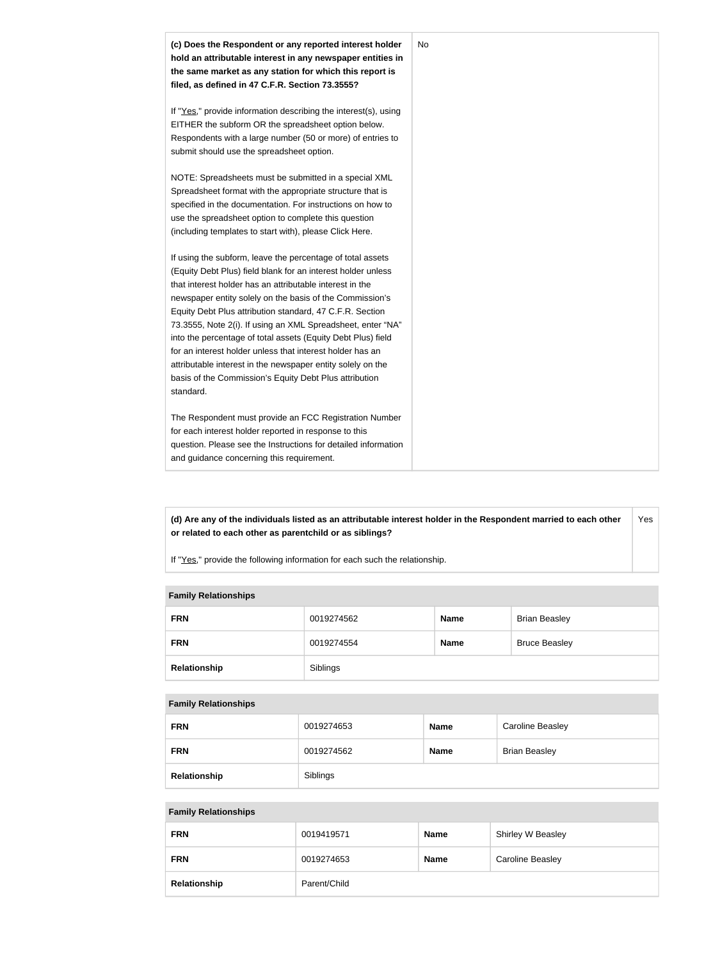

**(d) Are any of the individuals listed as an attributable interest holder in the Respondent married to each other or related to each other as parentchild or as siblings?** Yes

If "Yes," provide the following information for each such the relationship.

#### **Family Relationships**

| <b>FRN</b>   | 0019274562 | <b>Name</b> | <b>Brian Beasley</b> |
|--------------|------------|-------------|----------------------|
| <b>FRN</b>   | 0019274554 | <b>Name</b> | <b>Bruce Beasley</b> |
| Relationship | Siblings   |             |                      |

#### **Family Relationships**

| <b>FRN</b>   | 0019274653 | <b>Name</b> | <b>Caroline Beasley</b> |
|--------------|------------|-------------|-------------------------|
| <b>FRN</b>   | 0019274562 | <b>Name</b> | <b>Brian Beasley</b>    |
| Relationship | Siblings   |             |                         |

#### **Family Relationships**

| <b>FRN</b>   | 0019419571   | <b>Name</b> | Shirley W Beasley       |
|--------------|--------------|-------------|-------------------------|
| <b>FRN</b>   | 0019274653   | <b>Name</b> | <b>Caroline Beasley</b> |
| Relationship | Parent/Child |             |                         |